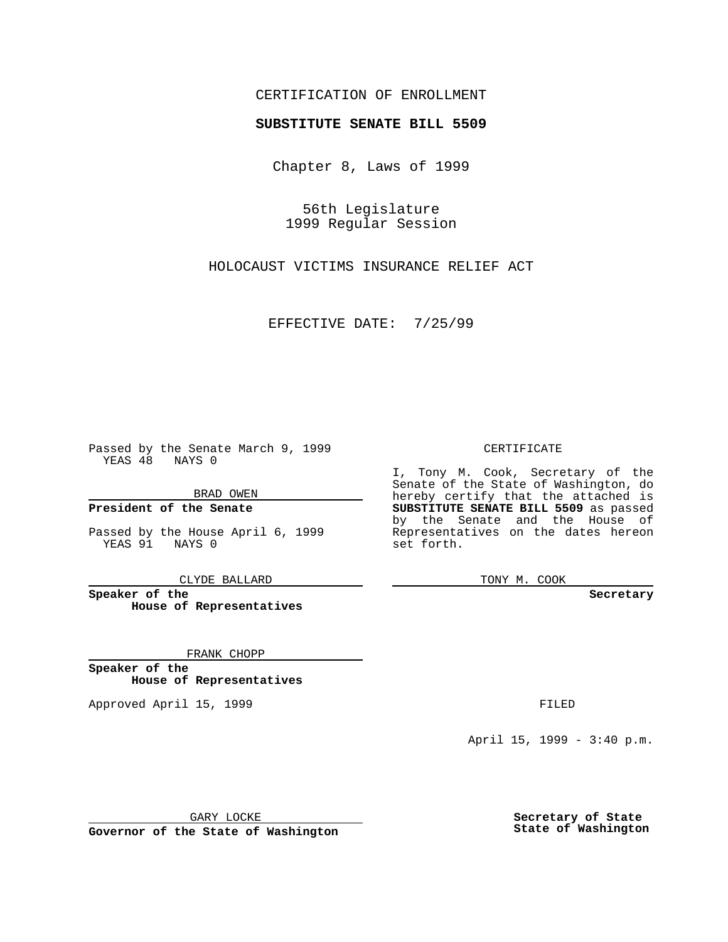### CERTIFICATION OF ENROLLMENT

# **SUBSTITUTE SENATE BILL 5509**

Chapter 8, Laws of 1999

56th Legislature 1999 Regular Session

HOLOCAUST VICTIMS INSURANCE RELIEF ACT

EFFECTIVE DATE: 7/25/99

Passed by the Senate March 9, 1999 YEAS 48 NAYS 0

BRAD OWEN

**President of the Senate**

Passed by the House April 6, 1999 YEAS 91 NAYS 0

CLYDE BALLARD

**Speaker of the House of Representatives**

FRANK CHOPP

**Speaker of the House of Representatives**

Approved April 15, 1999 **FILED** 

#### CERTIFICATE

I, Tony M. Cook, Secretary of the Senate of the State of Washington, do hereby certify that the attached is **SUBSTITUTE SENATE BILL 5509** as passed by the Senate and the House of Representatives on the dates hereon set forth.

TONY M. COOK

**Secretary**

April 15, 1999 - 3:40 p.m.

GARY LOCKE

**Governor of the State of Washington**

**Secretary of State State of Washington**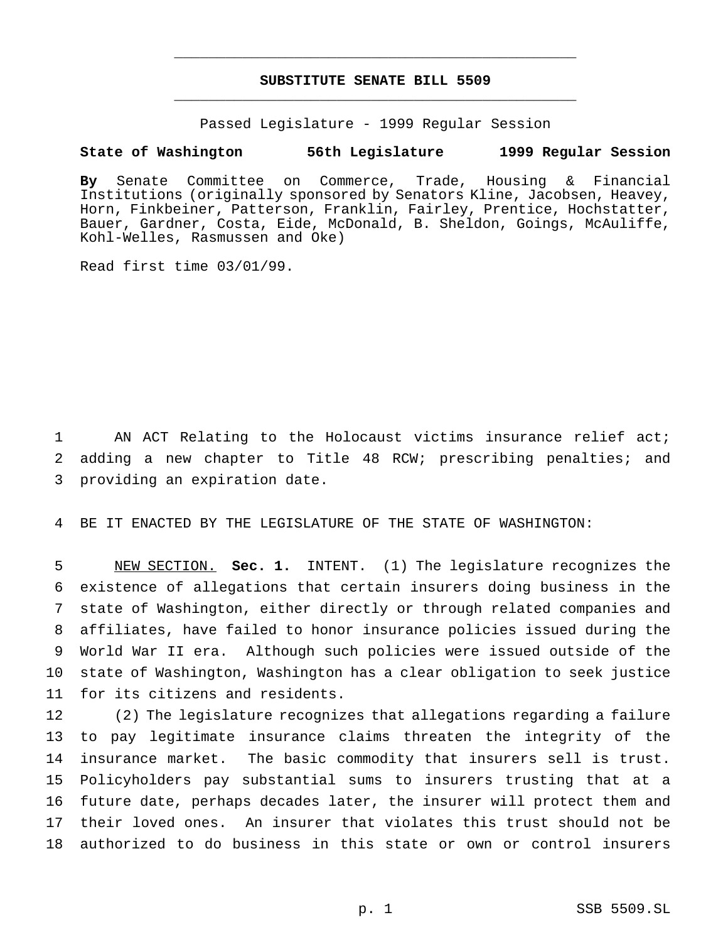## **SUBSTITUTE SENATE BILL 5509** \_\_\_\_\_\_\_\_\_\_\_\_\_\_\_\_\_\_\_\_\_\_\_\_\_\_\_\_\_\_\_\_\_\_\_\_\_\_\_\_\_\_\_\_\_\_\_

\_\_\_\_\_\_\_\_\_\_\_\_\_\_\_\_\_\_\_\_\_\_\_\_\_\_\_\_\_\_\_\_\_\_\_\_\_\_\_\_\_\_\_\_\_\_\_

Passed Legislature - 1999 Regular Session

### **State of Washington 56th Legislature 1999 Regular Session**

**By** Senate Committee on Commerce, Trade, Housing & Financial Institutions (originally sponsored by Senators Kline, Jacobsen, Heavey, Horn, Finkbeiner, Patterson, Franklin, Fairley, Prentice, Hochstatter, Bauer, Gardner, Costa, Eide, McDonald, B. Sheldon, Goings, McAuliffe, Kohl-Welles, Rasmussen and Oke)

Read first time 03/01/99.

1 AN ACT Relating to the Holocaust victims insurance relief act; 2 adding a new chapter to Title 48 RCW; prescribing penalties; and 3 providing an expiration date.

4 BE IT ENACTED BY THE LEGISLATURE OF THE STATE OF WASHINGTON:

 NEW SECTION. **Sec. 1.** INTENT. (1) The legislature recognizes the existence of allegations that certain insurers doing business in the state of Washington, either directly or through related companies and affiliates, have failed to honor insurance policies issued during the World War II era. Although such policies were issued outside of the state of Washington, Washington has a clear obligation to seek justice for its citizens and residents.

 (2) The legislature recognizes that allegations regarding a failure to pay legitimate insurance claims threaten the integrity of the insurance market. The basic commodity that insurers sell is trust. Policyholders pay substantial sums to insurers trusting that at a future date, perhaps decades later, the insurer will protect them and their loved ones. An insurer that violates this trust should not be authorized to do business in this state or own or control insurers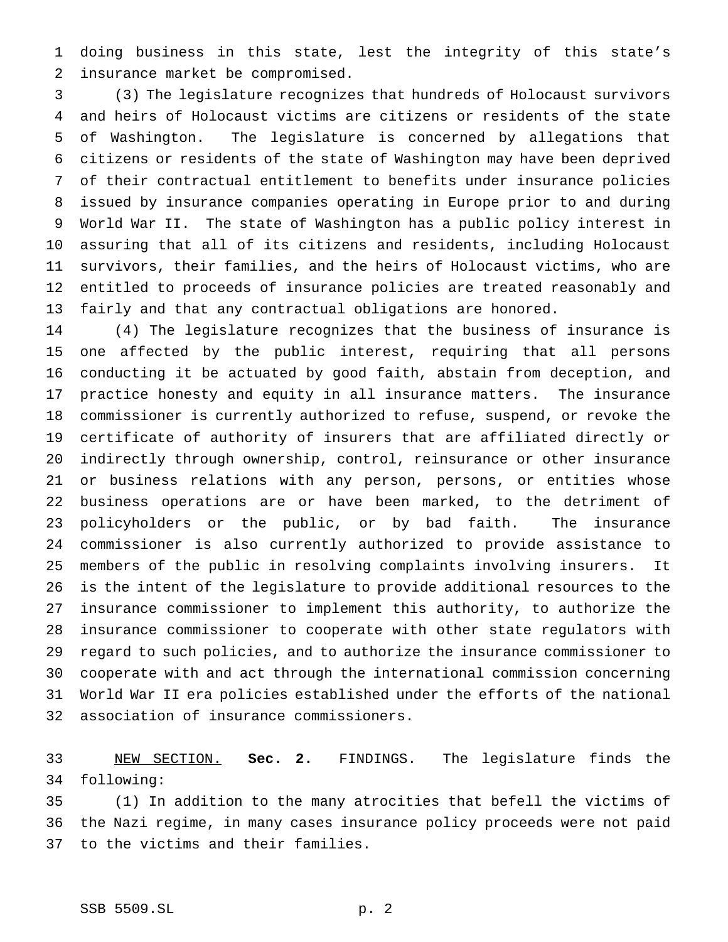doing business in this state, lest the integrity of this state's insurance market be compromised.

 (3) The legislature recognizes that hundreds of Holocaust survivors and heirs of Holocaust victims are citizens or residents of the state of Washington. The legislature is concerned by allegations that citizens or residents of the state of Washington may have been deprived of their contractual entitlement to benefits under insurance policies issued by insurance companies operating in Europe prior to and during World War II. The state of Washington has a public policy interest in assuring that all of its citizens and residents, including Holocaust survivors, their families, and the heirs of Holocaust victims, who are entitled to proceeds of insurance policies are treated reasonably and fairly and that any contractual obligations are honored.

 (4) The legislature recognizes that the business of insurance is one affected by the public interest, requiring that all persons conducting it be actuated by good faith, abstain from deception, and practice honesty and equity in all insurance matters. The insurance commissioner is currently authorized to refuse, suspend, or revoke the certificate of authority of insurers that are affiliated directly or indirectly through ownership, control, reinsurance or other insurance or business relations with any person, persons, or entities whose business operations are or have been marked, to the detriment of policyholders or the public, or by bad faith. The insurance commissioner is also currently authorized to provide assistance to members of the public in resolving complaints involving insurers. It is the intent of the legislature to provide additional resources to the insurance commissioner to implement this authority, to authorize the insurance commissioner to cooperate with other state regulators with regard to such policies, and to authorize the insurance commissioner to cooperate with and act through the international commission concerning World War II era policies established under the efforts of the national association of insurance commissioners.

 NEW SECTION. **Sec. 2.** FINDINGS. The legislature finds the following:

 (1) In addition to the many atrocities that befell the victims of the Nazi regime, in many cases insurance policy proceeds were not paid to the victims and their families.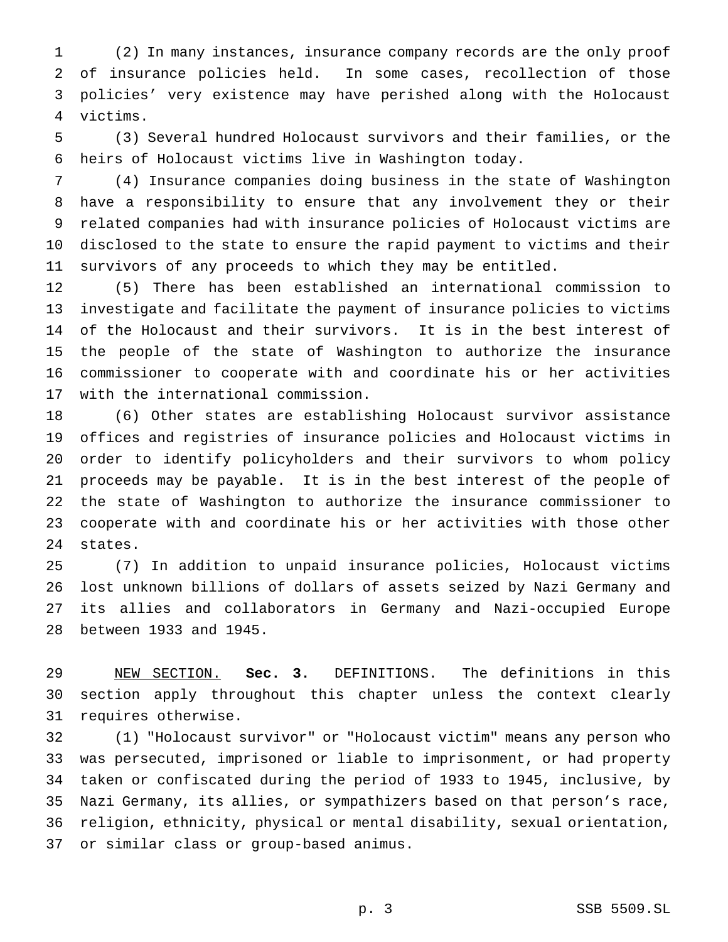(2) In many instances, insurance company records are the only proof of insurance policies held. In some cases, recollection of those policies' very existence may have perished along with the Holocaust victims.

 (3) Several hundred Holocaust survivors and their families, or the heirs of Holocaust victims live in Washington today.

 (4) Insurance companies doing business in the state of Washington have a responsibility to ensure that any involvement they or their related companies had with insurance policies of Holocaust victims are disclosed to the state to ensure the rapid payment to victims and their survivors of any proceeds to which they may be entitled.

 (5) There has been established an international commission to investigate and facilitate the payment of insurance policies to victims of the Holocaust and their survivors. It is in the best interest of the people of the state of Washington to authorize the insurance commissioner to cooperate with and coordinate his or her activities with the international commission.

 (6) Other states are establishing Holocaust survivor assistance offices and registries of insurance policies and Holocaust victims in order to identify policyholders and their survivors to whom policy proceeds may be payable. It is in the best interest of the people of the state of Washington to authorize the insurance commissioner to cooperate with and coordinate his or her activities with those other states.

 (7) In addition to unpaid insurance policies, Holocaust victims lost unknown billions of dollars of assets seized by Nazi Germany and its allies and collaborators in Germany and Nazi-occupied Europe between 1933 and 1945.

 NEW SECTION. **Sec. 3.** DEFINITIONS. The definitions in this section apply throughout this chapter unless the context clearly requires otherwise.

 (1) "Holocaust survivor" or "Holocaust victim" means any person who was persecuted, imprisoned or liable to imprisonment, or had property taken or confiscated during the period of 1933 to 1945, inclusive, by Nazi Germany, its allies, or sympathizers based on that person's race, religion, ethnicity, physical or mental disability, sexual orientation, or similar class or group-based animus.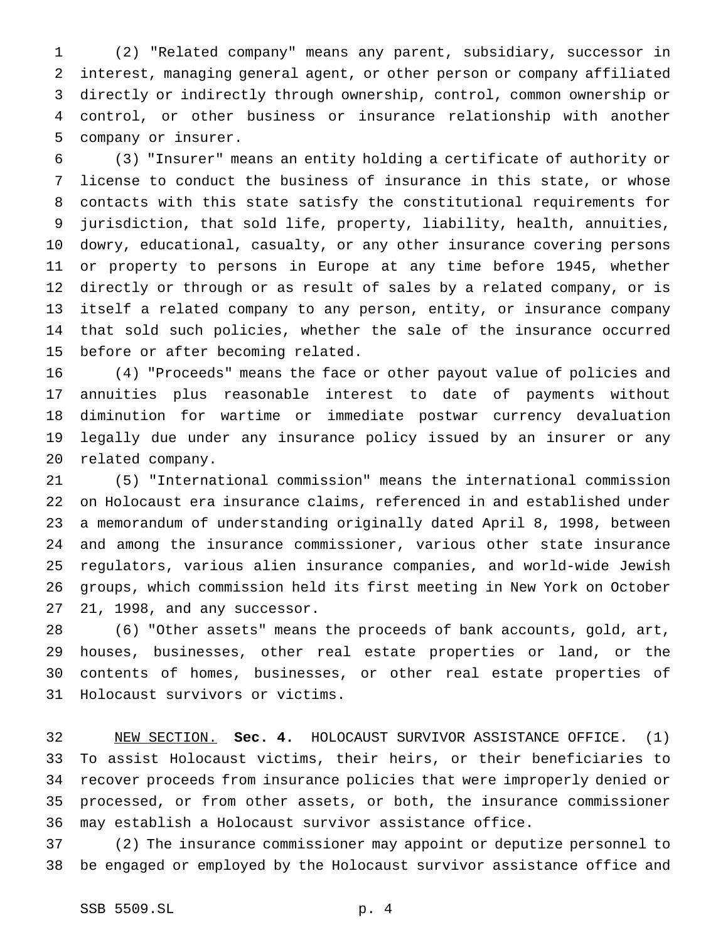(2) "Related company" means any parent, subsidiary, successor in interest, managing general agent, or other person or company affiliated directly or indirectly through ownership, control, common ownership or control, or other business or insurance relationship with another company or insurer.

 (3) "Insurer" means an entity holding a certificate of authority or license to conduct the business of insurance in this state, or whose contacts with this state satisfy the constitutional requirements for jurisdiction, that sold life, property, liability, health, annuities, dowry, educational, casualty, or any other insurance covering persons or property to persons in Europe at any time before 1945, whether directly or through or as result of sales by a related company, or is itself a related company to any person, entity, or insurance company that sold such policies, whether the sale of the insurance occurred before or after becoming related.

 (4) "Proceeds" means the face or other payout value of policies and annuities plus reasonable interest to date of payments without diminution for wartime or immediate postwar currency devaluation legally due under any insurance policy issued by an insurer or any related company.

 (5) "International commission" means the international commission on Holocaust era insurance claims, referenced in and established under a memorandum of understanding originally dated April 8, 1998, between and among the insurance commissioner, various other state insurance regulators, various alien insurance companies, and world-wide Jewish groups, which commission held its first meeting in New York on October 21, 1998, and any successor.

 (6) "Other assets" means the proceeds of bank accounts, gold, art, houses, businesses, other real estate properties or land, or the contents of homes, businesses, or other real estate properties of Holocaust survivors or victims.

 NEW SECTION. **Sec. 4.** HOLOCAUST SURVIVOR ASSISTANCE OFFICE. (1) To assist Holocaust victims, their heirs, or their beneficiaries to recover proceeds from insurance policies that were improperly denied or processed, or from other assets, or both, the insurance commissioner may establish a Holocaust survivor assistance office.

 (2) The insurance commissioner may appoint or deputize personnel to be engaged or employed by the Holocaust survivor assistance office and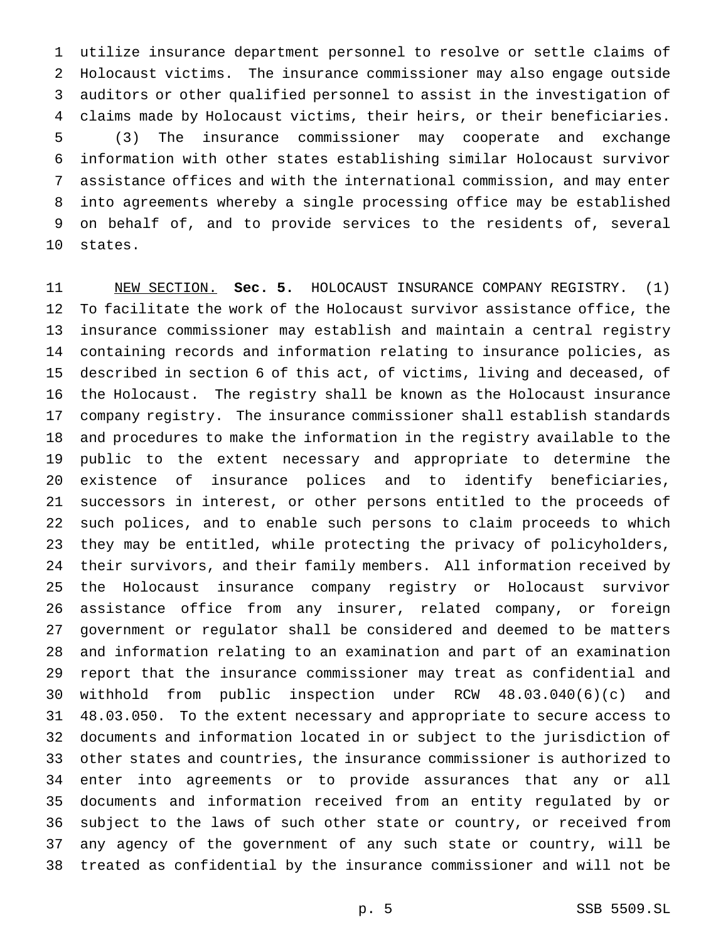utilize insurance department personnel to resolve or settle claims of Holocaust victims. The insurance commissioner may also engage outside auditors or other qualified personnel to assist in the investigation of claims made by Holocaust victims, their heirs, or their beneficiaries. (3) The insurance commissioner may cooperate and exchange information with other states establishing similar Holocaust survivor assistance offices and with the international commission, and may enter into agreements whereby a single processing office may be established on behalf of, and to provide services to the residents of, several states.

 NEW SECTION. **Sec. 5.** HOLOCAUST INSURANCE COMPANY REGISTRY. (1) To facilitate the work of the Holocaust survivor assistance office, the insurance commissioner may establish and maintain a central registry containing records and information relating to insurance policies, as described in section 6 of this act, of victims, living and deceased, of the Holocaust. The registry shall be known as the Holocaust insurance company registry. The insurance commissioner shall establish standards and procedures to make the information in the registry available to the public to the extent necessary and appropriate to determine the existence of insurance polices and to identify beneficiaries, successors in interest, or other persons entitled to the proceeds of such polices, and to enable such persons to claim proceeds to which they may be entitled, while protecting the privacy of policyholders, their survivors, and their family members. All information received by the Holocaust insurance company registry or Holocaust survivor assistance office from any insurer, related company, or foreign government or regulator shall be considered and deemed to be matters and information relating to an examination and part of an examination report that the insurance commissioner may treat as confidential and withhold from public inspection under RCW 48.03.040(6)(c) and 48.03.050. To the extent necessary and appropriate to secure access to documents and information located in or subject to the jurisdiction of other states and countries, the insurance commissioner is authorized to enter into agreements or to provide assurances that any or all documents and information received from an entity regulated by or subject to the laws of such other state or country, or received from any agency of the government of any such state or country, will be treated as confidential by the insurance commissioner and will not be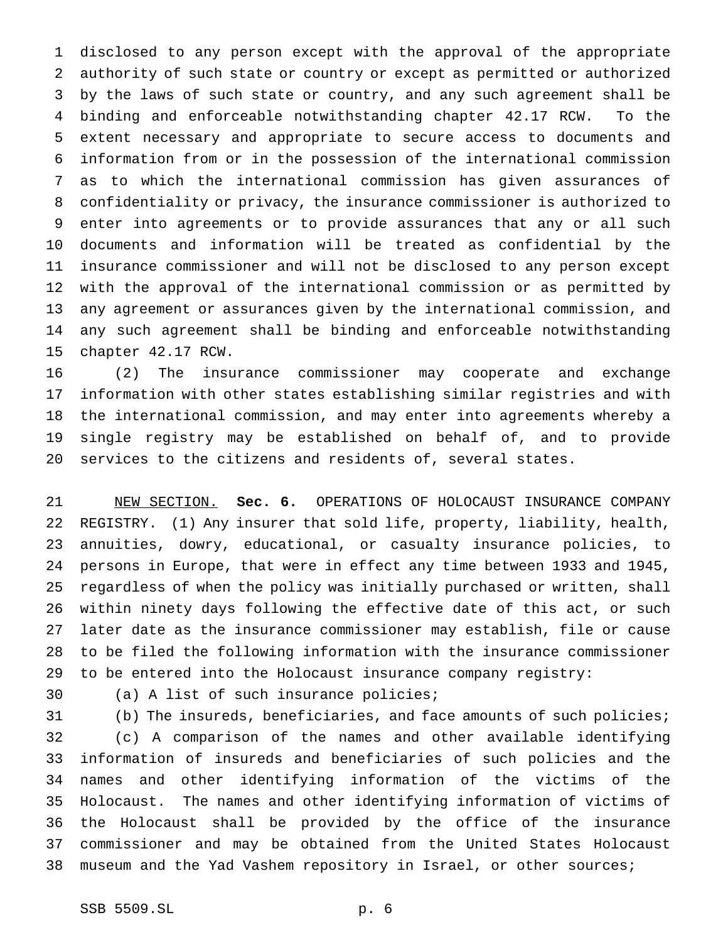disclosed to any person except with the approval of the appropriate authority of such state or country or except as permitted or authorized by the laws of such state or country, and any such agreement shall be binding and enforceable notwithstanding chapter 42.17 RCW. To the extent necessary and appropriate to secure access to documents and information from or in the possession of the international commission as to which the international commission has given assurances of confidentiality or privacy, the insurance commissioner is authorized to enter into agreements or to provide assurances that any or all such documents and information will be treated as confidential by the insurance commissioner and will not be disclosed to any person except with the approval of the international commission or as permitted by any agreement or assurances given by the international commission, and any such agreement shall be binding and enforceable notwithstanding chapter 42.17 RCW.

 (2) The insurance commissioner may cooperate and exchange information with other states establishing similar registries and with the international commission, and may enter into agreements whereby a single registry may be established on behalf of, and to provide services to the citizens and residents of, several states.

 NEW SECTION. **Sec. 6.** OPERATIONS OF HOLOCAUST INSURANCE COMPANY REGISTRY. (1) Any insurer that sold life, property, liability, health, annuities, dowry, educational, or casualty insurance policies, to persons in Europe, that were in effect any time between 1933 and 1945, regardless of when the policy was initially purchased or written, shall within ninety days following the effective date of this act, or such later date as the insurance commissioner may establish, file or cause to be filed the following information with the insurance commissioner to be entered into the Holocaust insurance company registry:

(a) A list of such insurance policies;

 (b) The insureds, beneficiaries, and face amounts of such policies; (c) A comparison of the names and other available identifying information of insureds and beneficiaries of such policies and the names and other identifying information of the victims of the Holocaust. The names and other identifying information of victims of the Holocaust shall be provided by the office of the insurance commissioner and may be obtained from the United States Holocaust museum and the Yad Vashem repository in Israel, or other sources;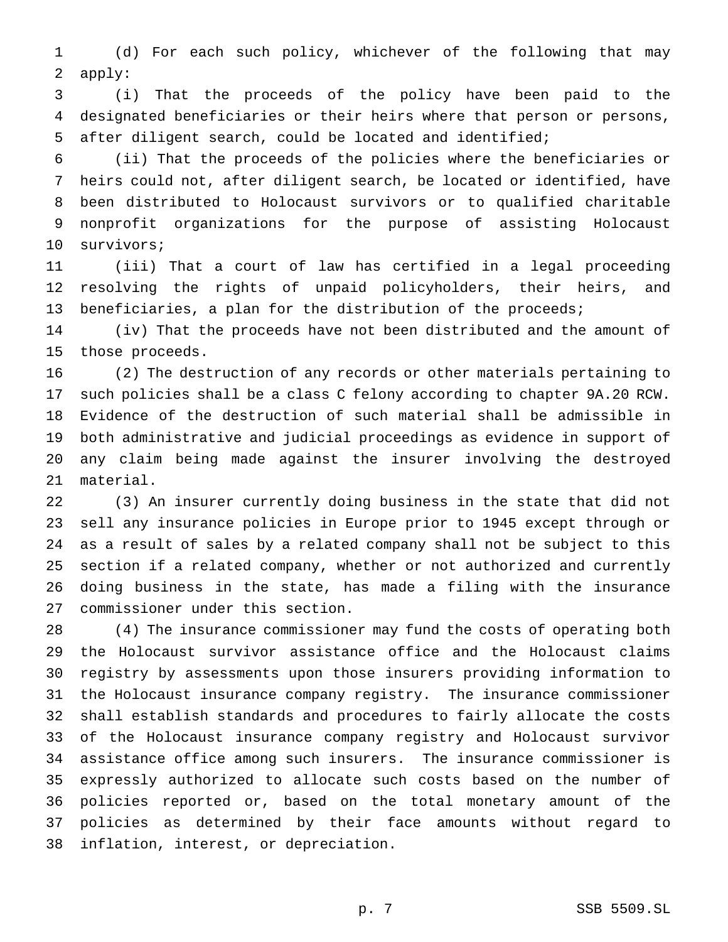(d) For each such policy, whichever of the following that may apply:

 (i) That the proceeds of the policy have been paid to the designated beneficiaries or their heirs where that person or persons, after diligent search, could be located and identified;

 (ii) That the proceeds of the policies where the beneficiaries or heirs could not, after diligent search, be located or identified, have been distributed to Holocaust survivors or to qualified charitable nonprofit organizations for the purpose of assisting Holocaust survivors;

 (iii) That a court of law has certified in a legal proceeding resolving the rights of unpaid policyholders, their heirs, and 13 beneficiaries, a plan for the distribution of the proceeds;

 (iv) That the proceeds have not been distributed and the amount of those proceeds.

 (2) The destruction of any records or other materials pertaining to such policies shall be a class C felony according to chapter 9A.20 RCW. Evidence of the destruction of such material shall be admissible in both administrative and judicial proceedings as evidence in support of any claim being made against the insurer involving the destroyed material.

 (3) An insurer currently doing business in the state that did not sell any insurance policies in Europe prior to 1945 except through or as a result of sales by a related company shall not be subject to this section if a related company, whether or not authorized and currently doing business in the state, has made a filing with the insurance commissioner under this section.

 (4) The insurance commissioner may fund the costs of operating both the Holocaust survivor assistance office and the Holocaust claims registry by assessments upon those insurers providing information to the Holocaust insurance company registry. The insurance commissioner shall establish standards and procedures to fairly allocate the costs of the Holocaust insurance company registry and Holocaust survivor assistance office among such insurers. The insurance commissioner is expressly authorized to allocate such costs based on the number of policies reported or, based on the total monetary amount of the policies as determined by their face amounts without regard to inflation, interest, or depreciation.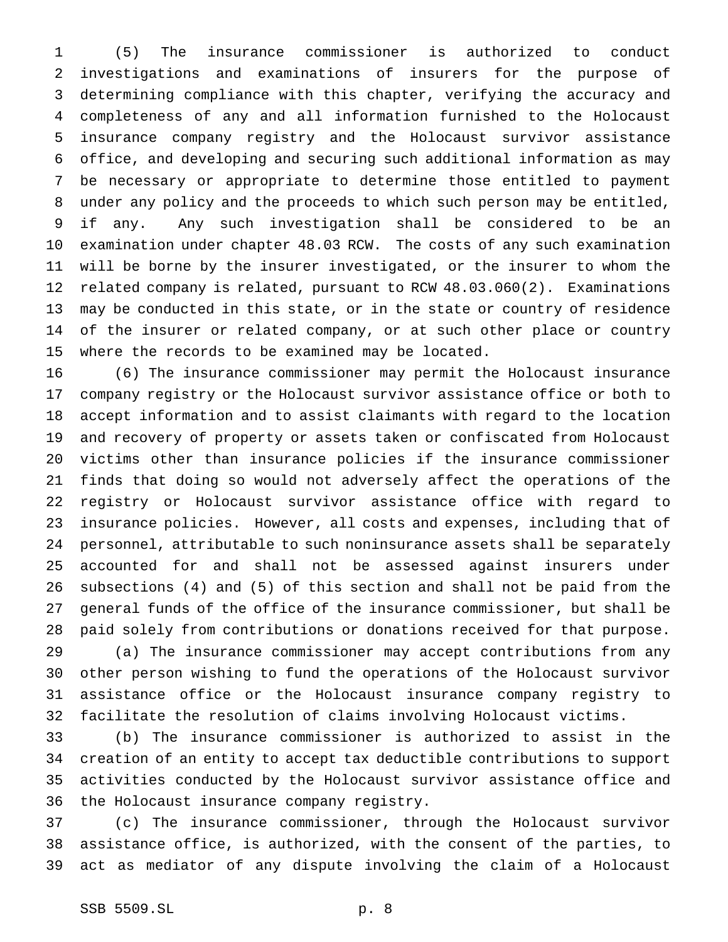(5) The insurance commissioner is authorized to conduct investigations and examinations of insurers for the purpose of determining compliance with this chapter, verifying the accuracy and completeness of any and all information furnished to the Holocaust insurance company registry and the Holocaust survivor assistance office, and developing and securing such additional information as may be necessary or appropriate to determine those entitled to payment under any policy and the proceeds to which such person may be entitled, if any. Any such investigation shall be considered to be an examination under chapter 48.03 RCW. The costs of any such examination will be borne by the insurer investigated, or the insurer to whom the related company is related, pursuant to RCW 48.03.060(2). Examinations may be conducted in this state, or in the state or country of residence of the insurer or related company, or at such other place or country where the records to be examined may be located.

 (6) The insurance commissioner may permit the Holocaust insurance company registry or the Holocaust survivor assistance office or both to accept information and to assist claimants with regard to the location and recovery of property or assets taken or confiscated from Holocaust victims other than insurance policies if the insurance commissioner finds that doing so would not adversely affect the operations of the registry or Holocaust survivor assistance office with regard to insurance policies. However, all costs and expenses, including that of personnel, attributable to such noninsurance assets shall be separately accounted for and shall not be assessed against insurers under subsections (4) and (5) of this section and shall not be paid from the general funds of the office of the insurance commissioner, but shall be paid solely from contributions or donations received for that purpose.

 (a) The insurance commissioner may accept contributions from any other person wishing to fund the operations of the Holocaust survivor assistance office or the Holocaust insurance company registry to facilitate the resolution of claims involving Holocaust victims.

 (b) The insurance commissioner is authorized to assist in the creation of an entity to accept tax deductible contributions to support activities conducted by the Holocaust survivor assistance office and the Holocaust insurance company registry.

 (c) The insurance commissioner, through the Holocaust survivor assistance office, is authorized, with the consent of the parties, to act as mediator of any dispute involving the claim of a Holocaust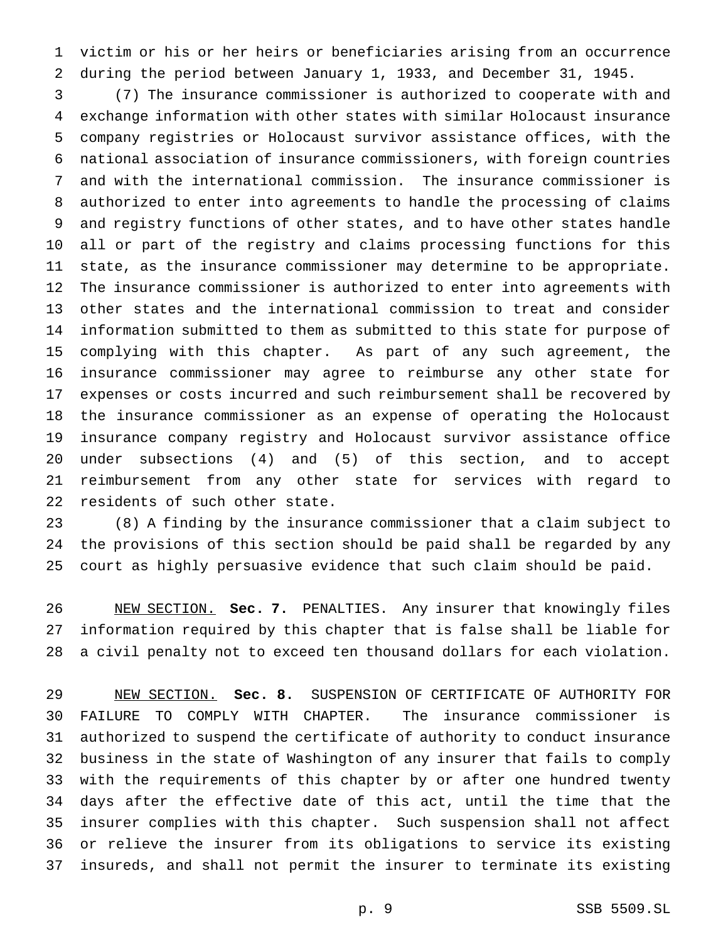victim or his or her heirs or beneficiaries arising from an occurrence during the period between January 1, 1933, and December 31, 1945.

 (7) The insurance commissioner is authorized to cooperate with and exchange information with other states with similar Holocaust insurance company registries or Holocaust survivor assistance offices, with the national association of insurance commissioners, with foreign countries and with the international commission. The insurance commissioner is authorized to enter into agreements to handle the processing of claims and registry functions of other states, and to have other states handle all or part of the registry and claims processing functions for this state, as the insurance commissioner may determine to be appropriate. The insurance commissioner is authorized to enter into agreements with other states and the international commission to treat and consider information submitted to them as submitted to this state for purpose of complying with this chapter. As part of any such agreement, the insurance commissioner may agree to reimburse any other state for expenses or costs incurred and such reimbursement shall be recovered by the insurance commissioner as an expense of operating the Holocaust insurance company registry and Holocaust survivor assistance office under subsections (4) and (5) of this section, and to accept reimbursement from any other state for services with regard to residents of such other state.

 (8) A finding by the insurance commissioner that a claim subject to the provisions of this section should be paid shall be regarded by any court as highly persuasive evidence that such claim should be paid.

 NEW SECTION. **Sec. 7.** PENALTIES. Any insurer that knowingly files information required by this chapter that is false shall be liable for a civil penalty not to exceed ten thousand dollars for each violation.

 NEW SECTION. **Sec. 8.** SUSPENSION OF CERTIFICATE OF AUTHORITY FOR FAILURE TO COMPLY WITH CHAPTER. The insurance commissioner is authorized to suspend the certificate of authority to conduct insurance business in the state of Washington of any insurer that fails to comply with the requirements of this chapter by or after one hundred twenty days after the effective date of this act, until the time that the insurer complies with this chapter. Such suspension shall not affect or relieve the insurer from its obligations to service its existing insureds, and shall not permit the insurer to terminate its existing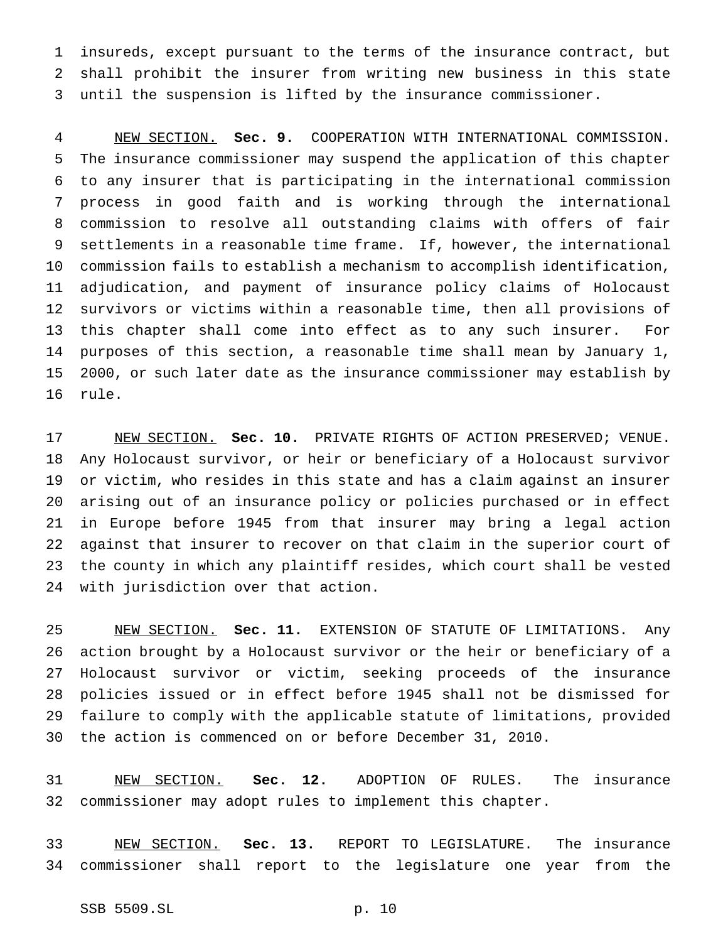insureds, except pursuant to the terms of the insurance contract, but shall prohibit the insurer from writing new business in this state until the suspension is lifted by the insurance commissioner.

 NEW SECTION. **Sec. 9.** COOPERATION WITH INTERNATIONAL COMMISSION. The insurance commissioner may suspend the application of this chapter to any insurer that is participating in the international commission process in good faith and is working through the international commission to resolve all outstanding claims with offers of fair settlements in a reasonable time frame. If, however, the international commission fails to establish a mechanism to accomplish identification, adjudication, and payment of insurance policy claims of Holocaust survivors or victims within a reasonable time, then all provisions of this chapter shall come into effect as to any such insurer. For purposes of this section, a reasonable time shall mean by January 1, 2000, or such later date as the insurance commissioner may establish by rule.

 NEW SECTION. **Sec. 10.** PRIVATE RIGHTS OF ACTION PRESERVED; VENUE. Any Holocaust survivor, or heir or beneficiary of a Holocaust survivor or victim, who resides in this state and has a claim against an insurer arising out of an insurance policy or policies purchased or in effect in Europe before 1945 from that insurer may bring a legal action against that insurer to recover on that claim in the superior court of the county in which any plaintiff resides, which court shall be vested with jurisdiction over that action.

 NEW SECTION. **Sec. 11.** EXTENSION OF STATUTE OF LIMITATIONS. Any action brought by a Holocaust survivor or the heir or beneficiary of a Holocaust survivor or victim, seeking proceeds of the insurance policies issued or in effect before 1945 shall not be dismissed for failure to comply with the applicable statute of limitations, provided the action is commenced on or before December 31, 2010.

 NEW SECTION. **Sec. 12.** ADOPTION OF RULES. The insurance commissioner may adopt rules to implement this chapter.

 NEW SECTION. **Sec. 13.** REPORT TO LEGISLATURE. The insurance commissioner shall report to the legislature one year from the